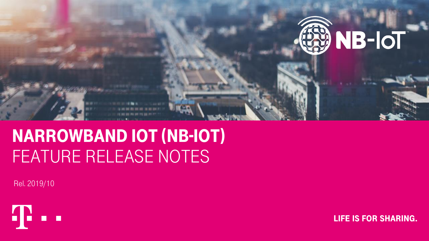

# Narrowband iot (NB-IoT) FEATURE RELEASE NOTES

Rel. 2019/10



**LIFE IS FOR SHARING.**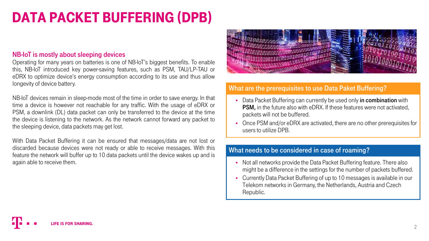# Data packet buffering (DPB)

#### NB-IoT is mostly about sleeping devices

Operating for many years on batteries is one of NB-IoT's biggest benefits. To enable this, NB-IoT introduced key power-saving features, such as PSM, TAU/LP-TAU or eDRX to optimize device's energy consumption according to its use and thus allow longevity of device battery.

NB-IoT devices remain in sleep-mode most of the time in order to save energy. In that time a device is however not reachable for any traffic. With the usage of eDRX or PSM, a downlink (DL) data packet can only be transferred to the device at the time the device is listening to the network. As the network cannot forward any packet to the sleeping device, data packets may get lost.

With Data Packet Buffering it can be ensured that messages/data are not lost or discarded because devices were not ready or able to receive messages. With this feature the network will buffer up to 10 data packets until the device wakes up and is again able to receive them. **The receive them.** There also



### What are the prerequisites to use Data Paket Buffering?

- Data Packet Buffering can currently be used only in combination with PSM, in the future also with eDRX. If these features were not activated, packets will not be buffered.
- Once PSM and/or eDRX are activated, there are no other prerequisites for users to utilize DPB.

#### What needs to be considered in case of roaming?

- might be a difference in the settings for the number of packets buffered.
- Currently Data Packet Buffering of up to 10 messages is available in our Telekom networks in Germany, the Netherlands, Austria and Czech Republic.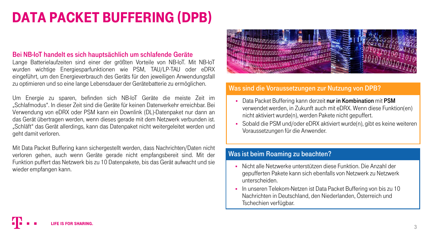# Data packet buffering (DPB)

#### Bei NB-IoT handelt es sich hauptsächlich um schlafende Geräte

Lange Batterielaufzeiten sind einer der größten Vorteile von NB-IoT. Mit NB-IoT wurden wichtige Energiesparfunktionen wie PSM, TAU/LP-TAU oder eDRX eingeführt, um den Energieverbrauch des Geräts für den jeweiligen Anwendungsfall zu optimieren und so eine lange Lebensdauer der Gerätebatterie zu ermöglichen.

Um Energie zu sparen, befinden sich NB-IoT Geräte die meiste Zeit im "Schlafmodus". In dieser Zeit sind die Geräte für keinen Datenverkehr erreichbar. Bei Verwendung von eDRX oder PSM kann ein Downlink (DL)-Datenpaket nur dann an das Gerät übertragen werden, wenn dieses gerade mit dem Netzwerk verbunden ist. "Schläft" das Gerät allerdings, kann das Datenpaket nicht weitergeleitet werden und geht damit verloren.

Mit Data Packet Buffering kann sichergestellt werden, dass Nachrichten/Daten nicht verloren gehen, auch wenn Geräte gerade nicht empfangsbereit sind. Mit der Funktion puffert das Netzwerk bis zu 10 Datenpakete, bis das Gerät aufwacht und sie wieder empfangen kann.



### Was sind die Voraussetzungen zur Nutzung von DPB?

- Data Packet Buffering kann derzeit nur in Kombination mit PSM verwendet werden, in Zukunft auch mit eDRX. Wenn diese Funktion(en) nicht aktiviert wurde(n), werden Pakete nicht gepuffert.
- Sobald die PSM und/oder eDRX aktiviert wurde(n), gibt es keine weiteren Voraussetzungen für die Anwender.

#### Was ist beim Roaming zu beachten?

- Nicht alle Netzwerke unterstützen diese Funktion. Die Anzahl der gepufferten Pakete kann sich ebenfalls von Netzwerk zu Netzwerk unterscheiden.
- In unseren Telekom-Netzen ist Data Packet Buffering von bis zu 10 Nachrichten in Deutschland, den Niederlanden, Österreich und Tschechien verfügbar.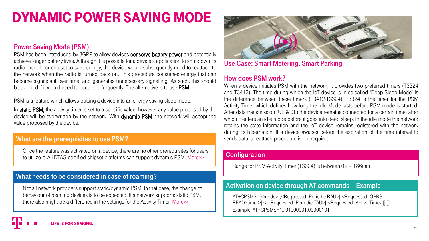# Dynamic Power saving mode

### Power Saving Mode (PSM)

PSM has been introduced by 3GPP to allow devices conserve battery power and potentially achieve longer battery lives. Although it is possible for a device's application to shut-down its radio module or chipset to save energy, the device would subsequently need to reattach to the network when the radio is turned back on. This procedure consumes energy that can become significant over time, and generates unnecessary signalling. As such, this should be avoided if it would need to occur too frequently. The alternative is to use **PSM**.

PSM is a feature which allows putting a device into an energy-saving sleep mode.

In static PSM, the activity timer is set to a specific value, however any value proposed by the device will be overwritten by the network. With dynamic PSM, the network will accept the value proposed by the device.

#### What are the prerequisites to use PSM?

Once the feature was activated on a device, there are no other prerequisites for users to utilize it. All DTAG certified chipset platforms can support dynamic PSM. More[>>](https://iot.telekom.com/iot-de/produkte/iot-hardware)

# What needs to be considered in case of roaming?

Not all network providers support static/dynamic PSM. In that case, the change of behaviour of roaming devices is to be expected. If a network supports static PSM, there also might be a difference in the settings for the Activity Timer. More>>



Use Case: Smart Metering, Smart Parking

### How does PSM work?

When a device initiates PSM with the network, it provides two preferred timers (T3324 and T3412). The time during which the IoT device is in so-called "Deep Sleep Mode" is the difference between these timers (T3412-T3324). T3324 is the timer for the PSM Activity Timer which defines how long the Idle Mode lasts before PSM mode is started. After data transmission (UL & DL) the device remains connected for a certain time, after which it enters an idle mode before it goes into deep sleep. In the idle mode the network retains the state information and the IoT device remains registered with the network during its hibernation. If a device awakes before the expiration of the time interval to sends data, a reattach procedure is not required.

#### **Configuration**

Range for PSM-Activity Timer (T3324) is between 0 s – 186min

### Activation on device through AT commands – Example

AT+CPSMS=[<mode>[,<Requested\_Periodic-RAU>[,<Requested\_GPRS-READYtimer>[< Requested Periodic-TAU>[,<Requested Active-Time>]]]]] Example: AT+CPSMS=1,,,01000001,00000101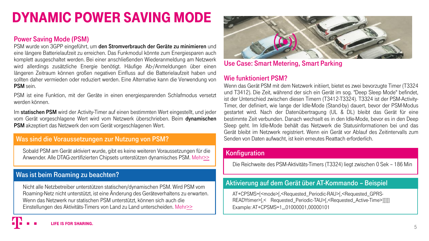# <span id="page-4-0"></span>Dynamic Power saving mode

# Power Saving Mode (PSM)

PSM wurde von 3GPP eingeführt, um den Stromverbrauch der Geräte zu minimieren und eine längere Batterielaufzeit zu erreichen. Das Funkmodul könnte zum Energiesparen auch komplett ausgeschaltet werden. Bei einer anschließenden Wiederanmeldung am Netzwerk wird allerdings zusätzliche Energie benötigt. Häufige Ab-/Anmeldungen über einen längeren Zeitraum können großen negativen Einfluss auf die Batterielaufzeit haben und sollten daher vermieden oder reduziert werden. Eine Alternative kann die Verwendung von PSM sein.

PSM ist eine Funktion, mit der Geräte in einen energiesparenden Schlafmodus versetzt werden können.

Im statischen PSM wird der Activity-Timer auf einen bestimmten Wert eingestellt, und jeder vom Gerät vorgeschlagene Wert wird vom Netzwerk überschrieben. Beim dynamischen PSM akzeptiert das Netzwerk den vom Gerät vorgeschlagenen Wert.

### Was sind die Voraussetzungen zur Nutzung von PSM?

Sobald PSM am Gerät aktiviert wurde, gibt es keine weiteren Voraussetzungen für die Anwender. Alle DTAG-zertifizierten Chipsets unterstützen dynamisches PSM. Mehr[>>](https://iot.telekom.com/iot-de/produkte/iot-hardware)

### Was ist beim Roaming zu beachten?

Nicht alle Netzbetreiber unterstützen statischen/dynamischen PSM. Wird PSM vom Roaming-Netz nicht unterstützt, ist eine Änderung des Geräteverhaltens zu erwarten. Wenn das Netzwerk nur statischen PSM unterstützt, können sich auch die Einstellungen des Aktivitäts-Timers von Land zu Land unterscheiden. Mehr>>



Use Case: Smart Metering, Smart Parking

# Wie funktioniert PSM?

Wenn das Gerät PSM mit dem Netzwerk initiiert, bietet es zwei bevorzugte Timer (T3324 und T3412). Die Zeit, während der sich ein Gerät im sog. "Deep Sleep Mode" befindet, ist der Unterschied zwischen diesen Timern (T3412-T3324). T3324 ist der PSM-Activity-Timer, der definiert, wie lange der Idle-Mode (Stand-by) dauert, bevor der PSM-Modus gestartet wird. Nach der Datenübertragung (UL & DL) bleibt das Gerät für eine bestimmte Zeit verbunden. Danach wechselt es in den Idle-Mode, bevor es in den Deep Sleep geht. Im Idle-Mode behält das Netzwerk die Statusinformationen bei und das Gerät bleibt im Netzwerk registriert. Wenn ein Gerät vor Ablauf des Zeitintervalls zum Senden von Daten aufwacht, ist kein erneutes Reattach erforderlich.

#### **Konfiguration**

Die Reichweite des PSM-Aktivitäts-Timers (T3324) liegt zwischen 0 Sek – 186 Min

### Aktivierung auf dem Gerät über AT-Kommando – Beispiel

AT+CPSMS=[<mode>[,<Requested\_Periodic-RAU>[,<Requested\_GPRS-READYtimer>[,< Requested\_Periodic-TAU>[,<Requested\_Active-Time>]]]]] Example: AT+CPSMS=1,,,01000001,00000101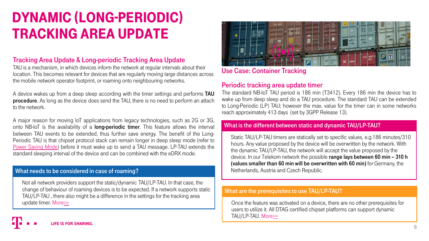# Dynamic (Long-periodic) Tracking area Update

# Tracking Area Update & Long-periodic Tracking Area Update

TAU is a mechanism, in which devices inform the network at regular intervals about their location. This becomes relevant for devices that are regularly moving large distances across the mobile network operator footprint, or roaming onto neighbouring networks.

A device wakes up from a deep sleep according with the timer settings and performs **TAU** procedure. As long as the device does send the TAU, there is no need to perform an attach to the network.

A major reason for moving IoT applications from legacy technologies, such as 2G or 3G, onto NB-IoT is the availability of a long-periodic timer. This feature allows the interval between TAU events to be extended, thus further save energy. The benefit of the Long-Periodic TAU is that chipset protocol stack can remain longer in deep sleep mode (refer to Power [Saving](#page-4-0) Mode) before it must wake up to send a TAU message. LP-TAU extends the standard sleeping interval of the device and can be combined with the eDRX mode.

#### What needs to be considered in case of roaming?

Not all network providers support the static/dynamic TAU/LP-TAU. In that case, the change of behaviour of roaming devices is to be expected. If a network supports static TAU/LP-TAU , there also might be a difference in the settings for the tracking area update timer. More>>



# Use Case: Container Tracking

#### Periodic tracking area update timer

The standard NB-IoT TAU period is 186 min (T3412). Every 186 min the device has to wake up from deep sleep and do a TAU procedure. The standard TAU can be extended to Long-Periodic (LP) TAU; however the max. value for the timer can in some networks reach approximately 413 days (set by 3GPP Release 13).

#### What is the different between static and dynamic TAU/LP-TAU?

Static TAU/LP-TAU timers are statically set to specific values, e.g.186 minutes/310 hours. Any value proposed by the device will be overwritten by the network. With the dynamic TAU/LP-TAU, the network will accept the value proposed by the device. In our Telekom network the possible range lays between 60 min – 310 h (values smaller than 60 min will be overwritten with 60 min) for Germany, the Netherlands, Austria and Czech Republic.

#### What are the prerequisites to use TAU/LP-TAU?

Once the feature was activated on a device, there are no other prerequisites for users to utilize it. All DTAG certified chipset platforms can support dynamic TAU/LP-TAU. More[>>](https://iot.telekom.com/iot-de/produkte/iot-hardware)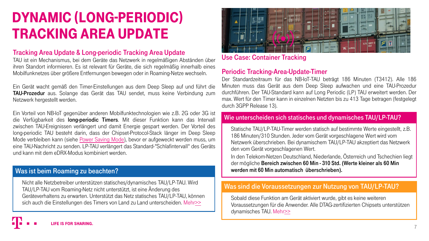# Dynamic (Long-periodic) Tracking area Update

# Tracking Area Update & Long-periodic Tracking Area Update

TAU ist ein Mechanismus, bei dem Geräte das Netzwerk in regelmäßigen Abständen über ihren Standort informieren. Es ist relevant für Geräte, die sich regelmäßig innerhalb eines Mobilfunknetzes über größere Entfernungen bewegen oder in Roaming-Netze wechseln.

Ein Gerät wacht gemäß den Timer-Einstellungen aus dem Deep Sleep auf und führt die TAU-Prozedur aus. Solange das Gerät das TAU sendet, muss keine Verbindung zum Netzwerk hergestellt werden.

Ein Vorteil von NB-IoT gegenüber anderen Mobilfunktechnologien wie z.B. 2G oder 3G ist die Verfügbarkeit des long-periodic Timers. Mit dieser Funktion kann das Intervall zwischen TAU-Ereignissen verlängert und damit Energie gespart werden. Der Vorteil des long-periodic TAU besteht darin, dass der Chipset-Protocol-Stack länger im Deep Sleep Mode verbleiben kann (siehe Power [Saving](#page-4-0) Mode), bevor er aufgeweckt werden muss, um eine TAU-Nachricht zu senden. LP-TAU verlängert das Standard-"Schlafintervall" des Geräts und kann mit dem eDRX-Modus kombiniert werden.

### Was ist beim Roaming zu beachten?

Nicht alle Netzbetreiber unterstützen statisches/dynamisches TAU/LP-TAU. Wird TAU/LP-TAU vom Roaming-Netz nicht unterstützt, ist eine Änderung des Geräteverhaltens zu erwarten. Unterstützt das Netz statisches TAU/LP-TAU, können sich auch die Einstellungen des Timers von Land zu Land unterscheiden. Mehr>>



Use Case: Container Tracking

#### Periodic Tracking-Area-Update-Timer

Der Standardzeitraum für das NB-IoT-TAU beträgt 186 Minuten (T3412). Alle 186 Minuten muss das Gerät aus dem Deep Sleep aufwachen und eine TAU-Prozedur durchführen. Der TAU-Standard kann auf Long Periodic (LP) TAU erweitert werden. Der max. Wert für den Timer kann in einzelnen Netzten bis zu 413 Tage betragen (festgelegt durch 3GPP Release 13).

#### Wie unterscheiden sich statisches und dynamisches TAU/LP-TAU?

Statische TAU/LP-TAU-Timer werden statisch auf bestimmte Werte eingestellt, z.B. 186 Minuten/310 Stunden. Jeder vom Gerät vorgeschlagene Wert wird vom Netzwerk überschrieben. Bei dynamischem TAU/LP-TAU akzeptiert das Netzwerk den vom Gerät vorgeschlagenen Wert.

In den Telekom-Netzen Deutschland, Niederlande, Österreich und Tschechien liegt der mögliche Bereich zwischen 60 Min - 310 Std. (Werte kleiner als 60 Min werden mit 60 Min automatisch überschrieben).

# Was sind die Voraussetzungen zur Nutzung von TAU/LP-TAU?

Sobald diese Funktion am Gerät aktiviert wurde, gibt es keine weiteren Voraussetzungen für die Anwender. Alle DTAG-zertifizierten Chipsets unterstützen dynamisches TAU. Meh[r>>](https://iot.telekom.com/iot-de/produkte/iot-hardware)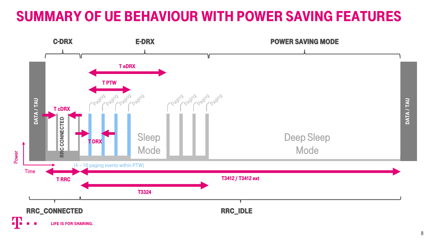# Summary of UE behaviour with Power Saving Features

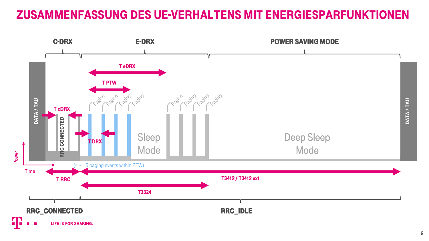# Zusammenfassung des UE-Verhaltens mit Energiesparfunktionen

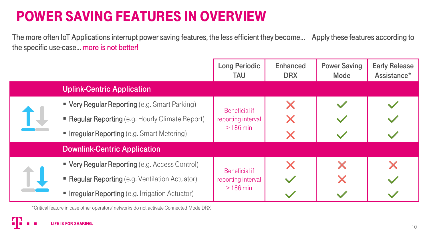# Power Saving Features in overview

The more often IoT Applications interrupt power saving features, the less efficient they become… Apply these features according to the specific use-case… more is not better!

|  |                                                       | <b>Long Periodic</b><br><b>TAU</b>                       | <b>Enhanced</b><br><b>DRX</b> | <b>Power Saving</b><br>Mode | <b>Early Release</b><br>Assistance* |
|--|-------------------------------------------------------|----------------------------------------------------------|-------------------------------|-----------------------------|-------------------------------------|
|  | <b>Uplink-Centric Application</b>                     |                                                          |                               |                             |                                     |
|  | " Very Regular Reporting (e.g. Smart Parking)         | Beneficial if<br>reporting interval<br>$>186$ min        | Х                             |                             |                                     |
|  | • Regular Reporting (e.g. Hourly Climate Report)      |                                                          |                               |                             |                                     |
|  | <b>Firegular Reporting (e.g. Smart Metering)</b>      |                                                          | Х                             |                             |                                     |
|  | <b>Downlink-Centric Application</b>                   |                                                          |                               |                             |                                     |
|  | • Very Regular Reporting (e.g. Access Control)        | <b>Beneficial if</b><br>reporting interval<br>$>186$ min |                               | X                           |                                     |
|  | • Regular Reporting (e.g. Ventilation Actuator)       |                                                          |                               | X                           |                                     |
|  | <b>Integular Reporting (e.g. Irrigation Actuator)</b> |                                                          |                               |                             |                                     |

\*Critical feature in case other operators' networks do not activate Connected Mode DRX